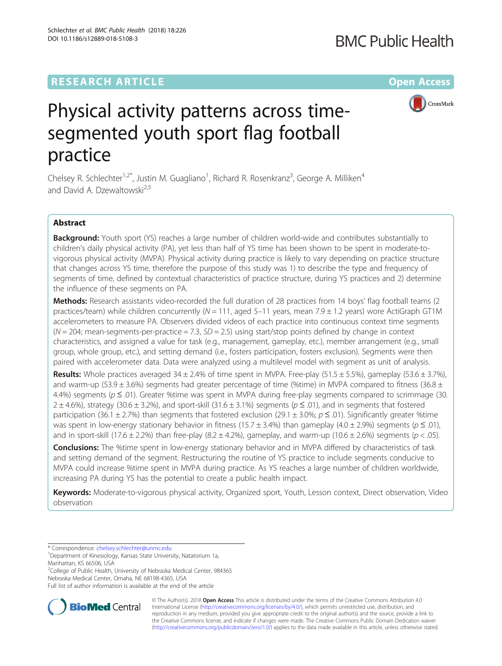### **RESEARCH ARTICLE Example 2014 12:30 The Company Access** (RESEARCH ARTICLE

## **BMC Public Health**



# Physical activity patterns across timesegmented youth sport flag football practice

Chelsey R. Schlechter<sup>1,2\*</sup>, Justin M. Guagliano<sup>1</sup>, Richard R. Rosenkranz<sup>3</sup>, George A. Milliken<sup>4</sup> and David A. Dzewaltowski<sup>2,5</sup>

#### Abstract

**Background:** Youth sport (YS) reaches a large number of children world-wide and contributes substantially to children's daily physical activity (PA), yet less than half of YS time has been shown to be spent in moderate-tovigorous physical activity (MVPA). Physical activity during practice is likely to vary depending on practice structure that changes across YS time, therefore the purpose of this study was 1) to describe the type and frequency of segments of time, defined by contextual characteristics of practice structure, during YS practices and 2) determine the influence of these segments on PA.

Methods: Research assistants video-recorded the full duration of 28 practices from 14 boys' flag football teams (2 practices/team) while children concurrently ( $N = 111$ , aged 5-11 years, mean 7.9  $\pm$  1.2 years) wore ActiGraph GT1M accelerometers to measure PA. Observers divided videos of each practice into continuous context time segments  $(N = 204$ ; mean-segments-per-practice = 7.3, SD = 2.5) using start/stop points defined by change in context characteristics, and assigned a value for task (e.g., management, gameplay, etc.), member arrangement (e.g., small group, whole group, etc.), and setting demand (i.e., fosters participation, fosters exclusion). Segments were then paired with accelerometer data. Data were analyzed using a multilevel model with segment as unit of analysis.

**Results:** Whole practices averaged 34  $\pm$  2.4% of time spent in MVPA. Free-play (51.5  $\pm$  5.5%), gameplay (53.6  $\pm$  3.7%), and warm-up (53.9  $\pm$  3.6%) segments had greater percentage of time (%time) in MVPA compared to fitness (36.8  $\pm$ 4.4%) segments (p ≤ .01). Greater %time was spent in MVPA during free-play segments compared to scrimmage (30.  $2 \pm 4.6$ %), strategy (30.6  $\pm$  3.2%), and sport-skill (31.6  $\pm$  3.1%) segments ( $p \le 0.01$ ), and in segments that fostered participation (36.1 ± 2.7%) than segments that fostered exclusion (29.1 ± 3.0%;  $p \le 0.01$ ). Significantly greater %time was spent in low-energy stationary behavior in fitness (15.7  $\pm$  3.4%) than gameplay (4.0  $\pm$  2.9%) segments ( $p \le 0.01$ ), and in sport-skill (17.6 ± 2.2%) than free-play (8.2 ± 4.2%), gameplay, and warm-up (10.6 ± 2.6%) segments ( $p < .05$ ).

**Conclusions:** The %time spent in low-energy stationary behavior and in MVPA differed by characteristics of task and setting demand of the segment. Restructuring the routine of YS practice to include segments conducive to MVPA could increase %time spent in MVPA during practice. As YS reaches a large number of children worldwide, increasing PA during YS has the potential to create a public health impact.

Keywords: Moderate-to-vigorous physical activity, Organized sport, Youth, Lesson context, Direct observation, Video observation

<sup>2</sup>College of Public Health, University of Nebraska Medical Center, 984365



© The Author(s). 2018 Open Access This article is distributed under the terms of the Creative Commons Attribution 4.0 International License [\(http://creativecommons.org/licenses/by/4.0/](http://creativecommons.org/licenses/by/4.0/)), which permits unrestricted use, distribution, and reproduction in any medium, provided you give appropriate credit to the original author(s) and the source, provide a link to the Creative Commons license, and indicate if changes were made. The Creative Commons Public Domain Dedication waiver [\(http://creativecommons.org/publicdomain/zero/1.0/](http://creativecommons.org/publicdomain/zero/1.0/)) applies to the data made available in this article, unless otherwise stated.

<sup>\*</sup> Correspondence: [chelsey.schlechter@unmc.edu](mailto:chelsey.schlechter@unmc.edu) <sup>1</sup>

<sup>&</sup>lt;sup>1</sup>Department of Kinesiology, Kansas State University, Natatorium 1a, Manhattan, KS 66506, USA

Nebraska Medical Center, Omaha, NE 68198-4365, USA Full list of author information is available at the end of the article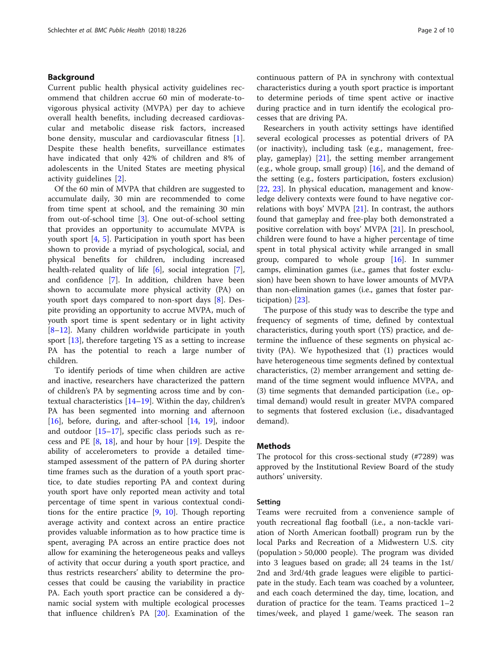#### Background

Current public health physical activity guidelines recommend that children accrue 60 min of moderate-tovigorous physical activity (MVPA) per day to achieve overall health benefits, including decreased cardiovascular and metabolic disease risk factors, increased bone density, muscular and cardiovascular fitness [\[1](#page-8-0)]. Despite these health benefits, surveillance estimates have indicated that only 42% of children and 8% of adolescents in the United States are meeting physical activity guidelines [\[2](#page-8-0)].

Of the 60 min of MVPA that children are suggested to accumulate daily, 30 min are recommended to come from time spent at school, and the remaining 30 min from out-of-school time [[3\]](#page-8-0). One out-of-school setting that provides an opportunity to accumulate MVPA is youth sport [\[4](#page-8-0), [5\]](#page-8-0). Participation in youth sport has been shown to provide a myriad of psychological, social, and physical benefits for children, including increased health-related quality of life [\[6](#page-8-0)], social integration [\[7](#page-8-0)], and confidence [\[7\]](#page-8-0). In addition, children have been shown to accumulate more physical activity (PA) on youth sport days compared to non-sport days [\[8](#page-8-0)]. Despite providing an opportunity to accrue MVPA, much of youth sport time is spent sedentary or in light activity [[8](#page-8-0)–[12\]](#page-8-0). Many children worldwide participate in youth sport [[13\]](#page-8-0), therefore targeting YS as a setting to increase PA has the potential to reach a large number of children.

To identify periods of time when children are active and inactive, researchers have characterized the pattern of children's PA by segmenting across time and by contextual characteristics [[14](#page-8-0)–[19](#page-8-0)]. Within the day, children's PA has been segmented into morning and afternoon [[16\]](#page-8-0), before, during, and after-school [\[14](#page-8-0), [19\]](#page-8-0), indoor and outdoor [\[15](#page-8-0)–[17\]](#page-8-0), specific class periods such as recess and PE  $[8, 18]$  $[8, 18]$  $[8, 18]$  $[8, 18]$ , and hour by hour  $[19]$  $[19]$ . Despite the ability of accelerometers to provide a detailed timestamped assessment of the pattern of PA during shorter time frames such as the duration of a youth sport practice, to date studies reporting PA and context during youth sport have only reported mean activity and total percentage of time spent in various contextual conditions for the entire practice  $[9, 10]$  $[9, 10]$  $[9, 10]$  $[9, 10]$ . Though reporting average activity and context across an entire practice provides valuable information as to how practice time is spent, averaging PA across an entire practice does not allow for examining the heterogeneous peaks and valleys of activity that occur during a youth sport practice, and thus restricts researchers' ability to determine the processes that could be causing the variability in practice PA. Each youth sport practice can be considered a dynamic social system with multiple ecological processes that influence children's PA [\[20](#page-8-0)]. Examination of the continuous pattern of PA in synchrony with contextual characteristics during a youth sport practice is important to determine periods of time spent active or inactive during practice and in turn identify the ecological processes that are driving PA.

Researchers in youth activity settings have identified several ecological processes as potential drivers of PA (or inactivity), including task (e.g., management, freeplay, gameplay) [[21\]](#page-8-0), the setting member arrangement (e.g., whole group, small group)  $[16]$  $[16]$ , and the demand of the setting (e.g., fosters participation, fosters exclusion) [[22,](#page-8-0) [23](#page-8-0)]. In physical education, management and knowledge delivery contexts were found to have negative correlations with boys' MVPA  $[21]$  $[21]$ . In contrast, the authors found that gameplay and free-play both demonstrated a positive correlation with boys' MVPA [\[21](#page-8-0)]. In preschool, children were found to have a higher percentage of time spent in total physical activity while arranged in small group, compared to whole group [[16\]](#page-8-0). In summer camps, elimination games (i.e., games that foster exclusion) have been shown to have lower amounts of MVPA than non-elimination games (i.e., games that foster participation) [[23](#page-8-0)].

The purpose of this study was to describe the type and frequency of segments of time, defined by contextual characteristics, during youth sport (YS) practice, and determine the influence of these segments on physical activity (PA). We hypothesized that (1) practices would have heterogeneous time segments defined by contextual characteristics, (2) member arrangement and setting demand of the time segment would influence MVPA, and (3) time segments that demanded participation (i.e., optimal demand) would result in greater MVPA compared to segments that fostered exclusion (i.e., disadvantaged demand).

#### Methods

The protocol for this cross-sectional study (#7289) was approved by the Institutional Review Board of the study authors' university.

#### Setting

Teams were recruited from a convenience sample of youth recreational flag football (i.e., a non-tackle variation of North American football) program run by the local Parks and Recreation of a Midwestern U.S. city (population > 50,000 people). The program was divided into 3 leagues based on grade; all 24 teams in the 1st/ 2nd and 3rd/4th grade leagues were eligible to participate in the study. Each team was coached by a volunteer, and each coach determined the day, time, location, and duration of practice for the team. Teams practiced 1–2 times/week, and played 1 game/week. The season ran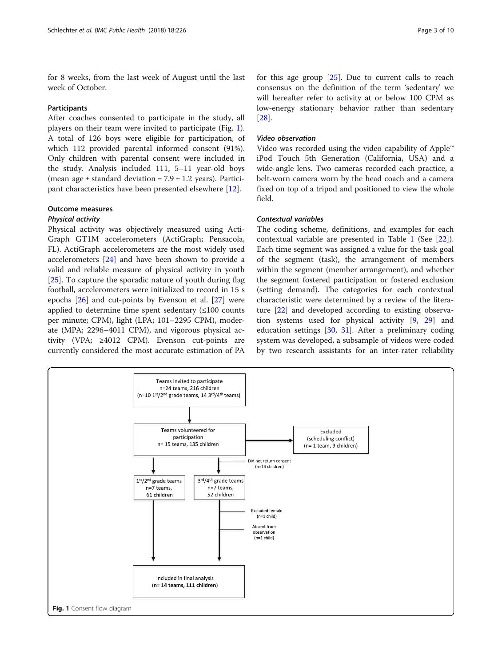for 8 weeks, from the last week of August until the last week of October.

#### Participants

After coaches consented to participate in the study, all players on their team were invited to participate (Fig. 1). A total of 126 boys were eligible for participation, of which 112 provided parental informed consent (91%). Only children with parental consent were included in the study. Analysis included 111, 5–11 year-old boys (mean age  $\pm$  standard deviation = 7.9  $\pm$  1.2 years). Participant characteristics have been presented elsewhere [\[12\]](#page-8-0).

#### Outcome measures

#### Physical activity

Physical activity was objectively measured using Acti-Graph GT1M accelerometers (ActiGraph; Pensacola, FL). ActiGraph accelerometers are the most widely used accelerometers [\[24\]](#page-8-0) and have been shown to provide a valid and reliable measure of physical activity in youth [[25\]](#page-8-0). To capture the sporadic nature of youth during flag football, accelerometers were initialized to record in 15 s epochs [\[26](#page-8-0)] and cut-points by Evenson et al. [\[27\]](#page-8-0) were applied to determine time spent sedentary  $(\leq 100 \text{ counts})$ per minute; CPM), light (LPA; 101–2295 CPM), moderate (MPA; 2296–4011 CPM), and vigorous physical activity (VPA; ≥4012 CPM). Evenson cut-points are currently considered the most accurate estimation of PA for this age group  $[25]$ . Due to current calls to reach consensus on the definition of the term 'sedentary' we will hereafter refer to activity at or below 100 CPM as low-energy stationary behavior rather than sedentary [[28\]](#page-8-0).

#### Video observation

Video was recorded using the video capability of Apple™ iPod Touch 5th Generation (California, USA) and a wide-angle lens. Two cameras recorded each practice, a belt-worn camera worn by the head coach and a camera fixed on top of a tripod and positioned to view the whole field.

#### Contextual variables

The coding scheme, definitions, and examples for each contextual variable are presented in Table [1](#page-3-0) (See [\[22](#page-8-0)]). Each time segment was assigned a value for the task goal of the segment (task), the arrangement of members within the segment (member arrangement), and whether the segment fostered participation or fostered exclusion (setting demand). The categories for each contextual characteristic were determined by a review of the literature [[22\]](#page-8-0) and developed according to existing observation systems used for physical activity [[9](#page-8-0), [29](#page-9-0)] and education settings  $[30, 31]$  $[30, 31]$  $[30, 31]$ . After a preliminary coding system was developed, a subsample of videos were coded by two research assistants for an inter-rater reliability

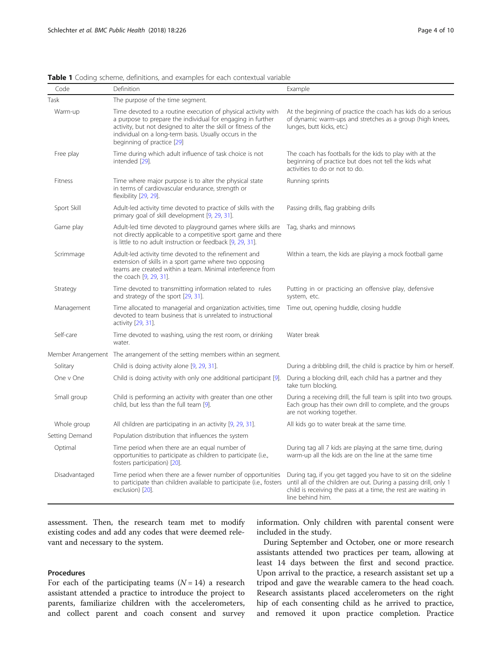| Code           | Definition                                                                                                                                                                                                                                                                              | Example                                                                                                                                                                                                                  |
|----------------|-----------------------------------------------------------------------------------------------------------------------------------------------------------------------------------------------------------------------------------------------------------------------------------------|--------------------------------------------------------------------------------------------------------------------------------------------------------------------------------------------------------------------------|
| Task           | The purpose of the time segment.                                                                                                                                                                                                                                                        |                                                                                                                                                                                                                          |
| Warm-up        | Time devoted to a routine execution of physical activity with<br>a purpose to prepare the individual for engaging in further<br>activity, but not designed to alter the skill or fitness of the<br>individual on a long-term basis. Usually occurs in the<br>beginning of practice [29] | At the beginning of practice the coach has kids do a serious<br>of dynamic warm-ups and stretches as a group (high knees,<br>lunges, butt kicks, etc.)                                                                   |
| Free play      | Time during which adult influence of task choice is not<br>intended [29].                                                                                                                                                                                                               | The coach has footballs for the kids to play with at the<br>beginning of practice but does not tell the kids what<br>activities to do or not to do.                                                                      |
| Fitness        | Time where major purpose is to alter the physical state<br>in terms of cardiovascular endurance, strength or<br>flexibility [29, 29].                                                                                                                                                   | Running sprints                                                                                                                                                                                                          |
| Sport Skill    | Adult-led activity time devoted to practice of skills with the<br>primary goal of skill development [9, 29, 31].                                                                                                                                                                        | Passing drills, flag grabbing drills                                                                                                                                                                                     |
| Game play      | Adult-led time devoted to playground games where skills are<br>not directly applicable to a competitive sport game and there<br>is little to no adult instruction or feedback [9, 29, 31].                                                                                              | Tag, sharks and minnows                                                                                                                                                                                                  |
| Scrimmage      | Adult-led activity time devoted to the refinement and<br>extension of skills in a sport game where two opposing<br>teams are created within a team. Minimal interference from<br>the coach [9, 29, 31].                                                                                 | Within a team, the kids are playing a mock football game                                                                                                                                                                 |
| Strategy       | Time devoted to transmitting information related to rules<br>and strategy of the sport [29, 31].                                                                                                                                                                                        | Putting in or practicing an offensive play, defensive<br>system, etc.                                                                                                                                                    |
| Management     | Time allocated to managerial and organization activities, time<br>devoted to team business that is unrelated to instructional<br>activity [29, 31].                                                                                                                                     | Time out, opening huddle, closing huddle                                                                                                                                                                                 |
| Self-care      | Time devoted to washing, using the rest room, or drinking<br>water.                                                                                                                                                                                                                     | Water break                                                                                                                                                                                                              |
|                | Member Arrangement The arrangement of the setting members within an segment.                                                                                                                                                                                                            |                                                                                                                                                                                                                          |
| Solitary       | Child is doing activity alone [9, 29, 31].                                                                                                                                                                                                                                              | During a dribbling drill, the child is practice by him or herself.                                                                                                                                                       |
| One v One      | Child is doing activity with only one additional participant [9].                                                                                                                                                                                                                       | During a blocking drill, each child has a partner and they<br>take turn blocking.                                                                                                                                        |
| Small group    | Child is performing an activity with greater than one other<br>child, but less than the full team [9].                                                                                                                                                                                  | During a receiving drill, the full team is split into two groups.<br>Each group has their own drill to complete, and the groups<br>are not working together.                                                             |
| Whole group    | All children are participating in an activity [9, 29, 31].                                                                                                                                                                                                                              | All kids go to water break at the same time.                                                                                                                                                                             |
| Setting Demand | Population distribution that influences the system                                                                                                                                                                                                                                      |                                                                                                                                                                                                                          |
| Optimal        | Time period when there are an equal number of<br>opportunities to participate as children to participate (i.e.,<br>fosters participation) [20].                                                                                                                                         | During tag all 7 kids are playing at the same time, during<br>warm-up all the kids are on the line at the same time                                                                                                      |
| Disadvantaged  | Time period when there are a fewer number of opportunities<br>to participate than children available to participate (i.e., fosters<br>exclusion) [20].                                                                                                                                  | During tag, if you get tagged you have to sit on the sideline<br>until all of the children are out. During a passing drill, only 1<br>child is receiving the pass at a time, the rest are waiting in<br>line behind him. |

<span id="page-3-0"></span>Table 1 Coding scheme, definitions, and examples for each contextual variable

assessment. Then, the research team met to modify existing codes and add any codes that were deemed relevant and necessary to the system.

#### Procedures

For each of the participating teams  $(N = 14)$  a research assistant attended a practice to introduce the project to parents, familiarize children with the accelerometers, and collect parent and coach consent and survey information. Only children with parental consent were included in the study.

During September and October, one or more research assistants attended two practices per team, allowing at least 14 days between the first and second practice. Upon arrival to the practice, a research assistant set up a tripod and gave the wearable camera to the head coach. Research assistants placed accelerometers on the right hip of each consenting child as he arrived to practice, and removed it upon practice completion. Practice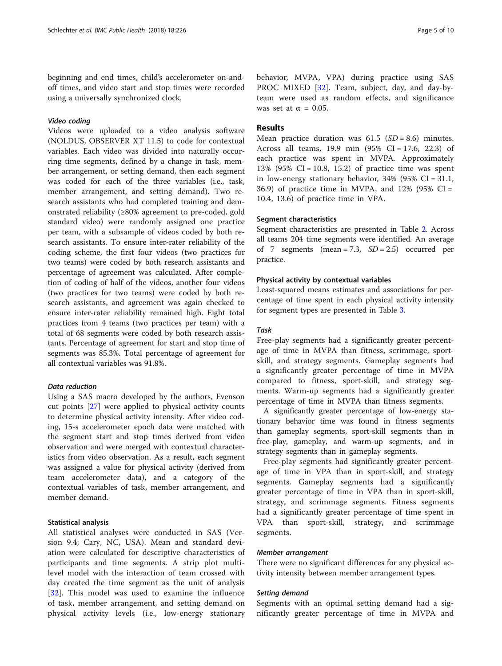beginning and end times, child's accelerometer on-andoff times, and video start and stop times were recorded using a universally synchronized clock.

#### Video coding

Videos were uploaded to a video analysis software (NOLDUS, OBSERVER XT 11.5) to code for contextual variables. Each video was divided into naturally occurring time segments, defined by a change in task, member arrangement, or setting demand, then each segment was coded for each of the three variables (i.e., task, member arrangement, and setting demand). Two research assistants who had completed training and demonstrated reliability (≥80% agreement to pre-coded, gold standard video) were randomly assigned one practice per team, with a subsample of videos coded by both research assistants. To ensure inter-rater reliability of the coding scheme, the first four videos (two practices for two teams) were coded by both research assistants and percentage of agreement was calculated. After completion of coding of half of the videos, another four videos (two practices for two teams) were coded by both research assistants, and agreement was again checked to ensure inter-rater reliability remained high. Eight total practices from 4 teams (two practices per team) with a total of 68 segments were coded by both research assistants. Percentage of agreement for start and stop time of segments was 85.3%. Total percentage of agreement for all contextual variables was 91.8%.

#### Data reduction

Using a SAS macro developed by the authors, Evenson cut points [\[27](#page-8-0)] were applied to physical activity counts to determine physical activity intensity. After video coding, 15-s accelerometer epoch data were matched with the segment start and stop times derived from video observation and were merged with contextual characteristics from video observation. As a result, each segment was assigned a value for physical activity (derived from team accelerometer data), and a category of the contextual variables of task, member arrangement, and member demand.

#### Statistical analysis

All statistical analyses were conducted in SAS (Version 9.4; Cary, NC, USA). Mean and standard deviation were calculated for descriptive characteristics of participants and time segments. A strip plot multilevel model with the interaction of team crossed with day created the time segment as the unit of analysis [[32\]](#page-9-0). This model was used to examine the influence of task, member arrangement, and setting demand on physical activity levels (i.e., low-energy stationary

behavior, MVPA, VPA) during practice using SAS PROC MIXED [[32\]](#page-9-0). Team, subject, day, and day-byteam were used as random effects, and significance was set at  $\alpha = 0.05$ .

#### Results

Mean practice duration was  $61.5$  (SD = 8.6) minutes. Across all teams, 19.9 min  $(95\% \text{ CI} = 17.6, 22.3)$  of each practice was spent in MVPA. Approximately 13% (95% CI = 10.8, 15.2) of practice time was spent in low-energy stationary behavior,  $34\%$  (95% CI = 31.1, 36.9) of practice time in MVPA, and  $12\%$  (95% CI = 10.4, 13.6) of practice time in VPA.

#### Segment characteristics

Segment characteristics are presented in Table [2](#page-5-0). Across all teams 204 time segments were identified. An average of 7 segments (mean = 7.3,  $SD = 2.5$ ) occurred per practice.

#### Physical activity by contextual variables

Least-squared means estimates and associations for percentage of time spent in each physical activity intensity for segment types are presented in Table [3](#page-6-0).

#### Task

Free-play segments had a significantly greater percentage of time in MVPA than fitness, scrimmage, sportskill, and strategy segments. Gameplay segments had a significantly greater percentage of time in MVPA compared to fitness, sport-skill, and strategy segments. Warm-up segments had a significantly greater percentage of time in MVPA than fitness segments.

A significantly greater percentage of low-energy stationary behavior time was found in fitness segments than gameplay segments, sport-skill segments than in free-play, gameplay, and warm-up segments, and in strategy segments than in gameplay segments.

Free-play segments had significantly greater percentage of time in VPA than in sport-skill, and strategy segments. Gameplay segments had a significantly greater percentage of time in VPA than in sport-skill, strategy, and scrimmage segments. Fitness segments had a significantly greater percentage of time spent in VPA than sport-skill, strategy, and scrimmage segments.

#### Member arrangement

There were no significant differences for any physical activity intensity between member arrangement types.

#### Setting demand

Segments with an optimal setting demand had a significantly greater percentage of time in MVPA and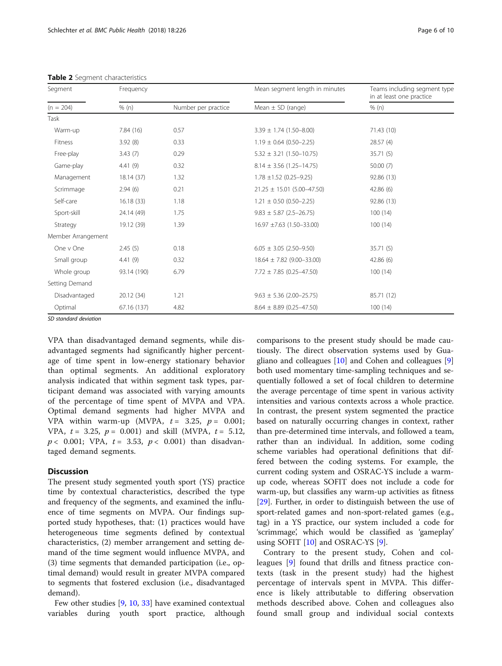| Segment            | Frequency   |                     | Mean segment length in minutes  | Teams including segment type<br>in at least one practice |  |
|--------------------|-------------|---------------------|---------------------------------|----------------------------------------------------------|--|
| $(n = 204)$        | % (n)       | Number per practice | Mean $\pm$ SD (range)           | % (n)                                                    |  |
| Task               |             |                     |                                 |                                                          |  |
| Warm-up            | 7.84(16)    | 0.57                | $3.39 \pm 1.74$ (1.50-8.00)     | 71.43 (10)                                               |  |
| Fitness            | 3.92(8)     | 0.33                | $1.19 \pm 0.64$ (0.50-2.25)     | 28.57(4)                                                 |  |
| Free-play          | 3.43(7)     | 0.29                | $5.32 \pm 3.21 (1.50 - 10.75)$  | 35.71(5)                                                 |  |
| Game-play          | 4.41(9)     | 0.32                | $8.14 \pm 3.56$ (1.25-14.75)    | 50.00(7)                                                 |  |
| Management         | 18.14 (37)  | 1.32                | $1.78 \pm 1.52$ (0.25-9.25)     | 92.86 (13)                                               |  |
| Scrimmage          | 2.94(6)     | 0.21                | $21.25 \pm 15.01$ (5.00-47.50)  | 42.86(6)                                                 |  |
| Self-care          | 16.18(33)   | 1.18                | $1.21 \pm 0.50$ (0.50-2.25)     | 92.86 (13)                                               |  |
| Sport-skill        | 24.14 (49)  | 1.75                | $9.83 \pm 5.87$ (2.5-26.75)     | 100(14)                                                  |  |
| Strategy           | 19.12 (39)  | 1.39                | $16.97 \pm 7.63$ (1.50-33.00)   | 100(14)                                                  |  |
| Member Arrangement |             |                     |                                 |                                                          |  |
| One v One          | 2.45(5)     | 0.18                | $6.05 \pm 3.05$ (2.50-9.50)     | 35.71(5)                                                 |  |
| Small group        | 4.41(9)     | 0.32                | $18.64 \pm 7.82 (9.00 - 33.00)$ | 42.86(6)                                                 |  |
| Whole group        | 93.14 (190) | 6.79                | $7.72 \pm 7.85 (0.25 - 47.50)$  | 100(14)                                                  |  |
| Setting Demand     |             |                     |                                 |                                                          |  |
| Disadvantaged      | 20.12 (34)  | 1.21                | $9.63 \pm 5.36$ (2.00-25.75)    | 85.71 (12)                                               |  |
| Optimal            | 67.16 (137) | 4.82                | $8.64 \pm 8.89$ (0.25-47.50)    | 100(14)                                                  |  |

<span id="page-5-0"></span>Table 2 Segment characteristics

SD standard deviation

VPA than disadvantaged demand segments, while disadvantaged segments had significantly higher percentage of time spent in low-energy stationary behavior than optimal segments. An additional exploratory analysis indicated that within segment task types, participant demand was associated with varying amounts of the percentage of time spent of MVPA and VPA. Optimal demand segments had higher MVPA and VPA within warm-up (MVPA,  $t = 3.25$ ,  $p = 0.001$ ; VPA,  $t = 3.25$ ,  $p = 0.001$ ) and skill (MVPA,  $t = 5.12$ ,  $p < 0.001$ ; VPA,  $t = 3.53$ ,  $p < 0.001$ ) than disadvantaged demand segments.

#### **Discussion**

The present study segmented youth sport (YS) practice time by contextual characteristics, described the type and frequency of the segments, and examined the influence of time segments on MVPA. Our findings supported study hypotheses, that: (1) practices would have heterogeneous time segments defined by contextual characteristics, (2) member arrangement and setting demand of the time segment would influence MVPA, and (3) time segments that demanded participation (i.e., optimal demand) would result in greater MVPA compared to segments that fostered exclusion (i.e., disadvantaged demand).

Few other studies [\[9,](#page-8-0) [10,](#page-8-0) [33\]](#page-9-0) have examined contextual variables during youth sport practice, although

comparisons to the present study should be made cautiously. The direct observation systems used by Guagliano and colleagues [\[10](#page-8-0)] and Cohen and colleagues [\[9](#page-8-0)] both used momentary time-sampling techniques and sequentially followed a set of focal children to determine the average percentage of time spent in various activity intensities and various contexts across a whole practice. In contrast, the present system segmented the practice based on naturally occurring changes in context, rather than pre-determined time intervals, and followed a team, rather than an individual. In addition, some coding scheme variables had operational definitions that differed between the coding systems. For example, the current coding system and OSRAC-YS include a warmup code, whereas SOFIT does not include a code for warm-up, but classifies any warm-up activities as fitness [[29\]](#page-9-0). Further, in order to distinguish between the use of sport-related games and non-sport-related games (e.g., tag) in a YS practice, our system included a code for 'scrimmage', which would be classified as 'gameplay' using SOFIT [\[10\]](#page-8-0) and OSRAC-YS [[9\]](#page-8-0).

Contrary to the present study, Cohen and colleagues [[9\]](#page-8-0) found that drills and fitness practice contexts (task in the present study) had the highest percentage of intervals spent in MVPA. This difference is likely attributable to differing observation methods described above. Cohen and colleagues also found small group and individual social contexts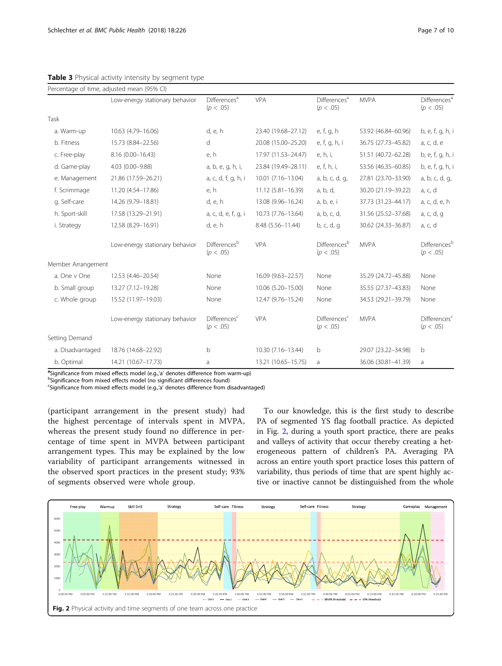|                    | Percentage of time, adjusted mean (95% CI) |                                       |                     |                                       |                     |                                              |
|--------------------|--------------------------------------------|---------------------------------------|---------------------|---------------------------------------|---------------------|----------------------------------------------|
|                    | Low-energy stationary behavior             | Differences <sup>a</sup><br>(p < .05) | <b>VPA</b>          | Differences <sup>a</sup><br>(p < .05) | <b>MVPA</b>         | <b>Differences</b> <sup>a</sup><br>(p < .05) |
| Task               |                                            |                                       |                     |                                       |                     |                                              |
| a. Warm-up         | 10.63 (4.79-16.06)                         | d, e, h                               | 23.40 (19.68-27.12) | e, f, g, h                            | 53.92 (46.84-60.96) | b, e, f, g, h, i                             |
| b. Fitness         | 15.73 (8.84-22.56)                         | $\mathsf{d}$                          | 20.08 (15.00-25.20) | e, f, g, h, i                         | 36.75 (27.73-45.82) | a, c, d, e                                   |
| c. Free-play       | 8.16 (0.00-16.43)                          | e, h                                  | 17.97 (11.53-24.47) | e, h, i,                              | 51.51 (40.72-62.28) | b, e, f, g, h, i                             |
| d. Game-play       | 4.03 (0.00-9.88)                           | a, b, e, g, h, i,                     | 23.84 (19.49-28.11) | e, f, h, i,                           | 53.56 (46.35-60.85) | b, e, f, g, h, i                             |
| e. Management      | 21.86 (17.59-26.21)                        | a, c, d, f, g, h, i                   | 10.01 (7.16-13.04)  | a, b, c, d, g,                        | 27.81 (23.70-33.90) | a, b, c, d, g,                               |
| f. Scrimmage       | 11.20 (4.54-17.86)                         | e, h                                  | 11.12 (5.81-16.39)  | a, b, d,                              | 30.20 (21.19-39.22) | a, c, d                                      |
| g. Self-care       | 14.26 (9.79-18.81)                         | d, e, h                               | 13.08 (9.96-16.24)  | a, b, e, i                            | 37.73 (31.23-44.17) | a, c, d, e, h                                |
| h. Sport-skill     | 17.58 (13.29-21.91)                        | a, c, d, e, f, g, i                   | 10.73 (7.76-13.64)  | a, b, c, d,                           | 31.56 (25.52-37.68) | a, c, d, g                                   |
| i. Strategy        | 12.58 (8.29-16.91)                         | d, e, h                               | 8.48 (5.56-11.44)   | b, c, d, g                            | 30.62 (24.33-36.87) | a, c, d                                      |
|                    | Low-energy stationary behavior             | Differences <sup>b</sup><br>(p < .05) | <b>VPA</b>          | Differencesb<br>(p < .05)             | <b>MVPA</b>         | Differencesb<br>(p < .05)                    |
| Member Arrangement |                                            |                                       |                     |                                       |                     |                                              |
| a. One v One       | 12.53 (4.46-20.54)                         | None                                  | 16.09 (9.63-22.57)  | None                                  | 35.29 (24.72-45.88) | None                                         |
| b. Small group     | 13.27 (7.12-19.28)                         | None                                  | 10.06 (5.20-15.00)  | None                                  | 35.55 (27.37-43.83) | None                                         |
| c. Whole group     | 15.52 (11.97-19.03)                        | None                                  | 12.47 (9.76-15.24)  | None                                  | 34.53 (29.21-39.79) | None                                         |
|                    | Low-energy stationary behavior             | Differences <sup>c</sup><br>(p < .05) | VPA                 | Differences <sup>c</sup><br>(p < .05) | <b>MVPA</b>         | Differences <sup>c</sup><br>(p < .05)        |
| Setting Demand     |                                            |                                       |                     |                                       |                     |                                              |
| a. Disadvantaged   | 18.76 (14.68-22.92)                        | $\mathsf b$                           | 10.30 (7.16-13.44)  | b                                     | 29.07 (23.22-34.98) | b                                            |
| b. Optimal         | 14.21 (10.67-17.73)                        | a                                     | 13.21 (10.65-15.75) | a                                     | 36.06 (30.81-41.39) | a                                            |

<span id="page-6-0"></span>Table 3 Physical activity intensity by segment type

<sup>a</sup> Significance from mixed effects model (e.g.,'a' denotes difference from warm-up)<br><sup>be</sup>significance from mixed effects model (no cignificant differences found)

bSignificance from mixed effects model (no significant differences found)

<sup>c</sup>Significance from mixed effects model (e.g.,'a' denotes difference from disadvantaged)

(participant arrangement in the present study) had the highest percentage of intervals spent in MVPA, whereas the present study found no difference in percentage of time spent in MVPA between participant arrangement types. This may be explained by the low variability of participant arrangements witnessed in the observed sport practices in the present study; 93% of segments observed were whole group.

To our knowledge, this is the first study to describe PA of segmented YS flag football practice. As depicted in Fig. 2, during a youth sport practice, there are peaks and valleys of activity that occur thereby creating a heterogeneous pattern of children's PA. Averaging PA across an entire youth sport practice loses this pattern of variability, thus periods of time that are spent highly active or inactive cannot be distinguished from the whole

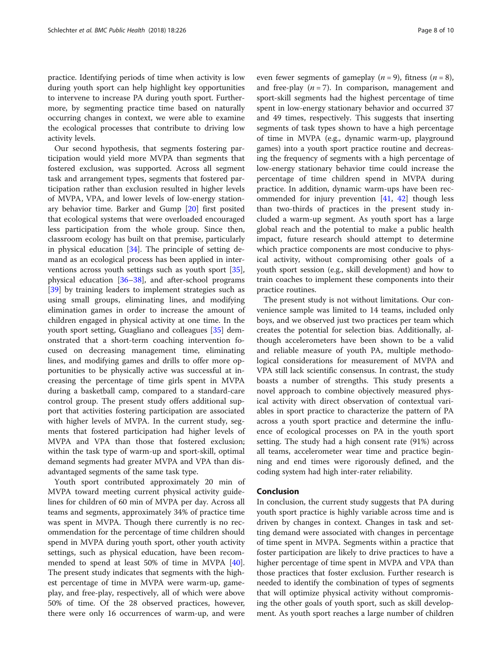practice. Identifying periods of time when activity is low during youth sport can help highlight key opportunities to intervene to increase PA during youth sport. Furthermore, by segmenting practice time based on naturally occurring changes in context, we were able to examine the ecological processes that contribute to driving low activity levels.

Our second hypothesis, that segments fostering participation would yield more MVPA than segments that fostered exclusion, was supported. Across all segment task and arrangement types, segments that fostered participation rather than exclusion resulted in higher levels of MVPA, VPA, and lower levels of low-energy stationary behavior time. Barker and Gump [[20\]](#page-8-0) first posited that ecological systems that were overloaded encouraged less participation from the whole group. Since then, classroom ecology has built on that premise, particularly in physical education [\[34](#page-9-0)]. The principle of setting demand as an ecological process has been applied in interventions across youth settings such as youth sport [\[35](#page-9-0)], physical education [[36](#page-9-0)–[38](#page-9-0)], and after-school programs [[39\]](#page-9-0) by training leaders to implement strategies such as using small groups, eliminating lines, and modifying elimination games in order to increase the amount of children engaged in physical activity at one time. In the youth sport setting, Guagliano and colleagues [[35\]](#page-9-0) demonstrated that a short-term coaching intervention focused on decreasing management time, eliminating lines, and modifying games and drills to offer more opportunities to be physically active was successful at increasing the percentage of time girls spent in MVPA during a basketball camp, compared to a standard-care control group. The present study offers additional support that activities fostering participation are associated with higher levels of MVPA. In the current study, segments that fostered participation had higher levels of MVPA and VPA than those that fostered exclusion; within the task type of warm-up and sport-skill, optimal demand segments had greater MVPA and VPA than disadvantaged segments of the same task type.

Youth sport contributed approximately 20 min of MVPA toward meeting current physical activity guidelines for children of 60 min of MVPA per day. Across all teams and segments, approximately 34% of practice time was spent in MVPA. Though there currently is no recommendation for the percentage of time children should spend in MVPA during youth sport, other youth activity settings, such as physical education, have been recommended to spend at least 50% of time in MVPA [\[40](#page-9-0)]. The present study indicates that segments with the highest percentage of time in MVPA were warm-up, gameplay, and free-play, respectively, all of which were above 50% of time. Of the 28 observed practices, however, there were only 16 occurrences of warm-up, and were

even fewer segments of gameplay ( $n = 9$ ), fitness ( $n = 8$ ), and free-play  $(n = 7)$ . In comparison, management and sport-skill segments had the highest percentage of time spent in low-energy stationary behavior and occurred 37 and 49 times, respectively. This suggests that inserting segments of task types shown to have a high percentage of time in MVPA (e.g., dynamic warm-up, playground games) into a youth sport practice routine and decreasing the frequency of segments with a high percentage of low-energy stationary behavior time could increase the percentage of time children spend in MVPA during practice. In addition, dynamic warm-ups have been recommended for injury prevention [\[41](#page-9-0), [42](#page-9-0)] though less than two-thirds of practices in the present study included a warm-up segment. As youth sport has a large global reach and the potential to make a public health impact, future research should attempt to determine which practice components are most conducive to physical activity, without compromising other goals of a youth sport session (e.g., skill development) and how to train coaches to implement these components into their practice routines.

The present study is not without limitations. Our convenience sample was limited to 14 teams, included only boys, and we observed just two practices per team which creates the potential for selection bias. Additionally, although accelerometers have been shown to be a valid and reliable measure of youth PA, multiple methodological considerations for measurement of MVPA and VPA still lack scientific consensus. In contrast, the study boasts a number of strengths. This study presents a novel approach to combine objectively measured physical activity with direct observation of contextual variables in sport practice to characterize the pattern of PA across a youth sport practice and determine the influence of ecological processes on PA in the youth sport setting. The study had a high consent rate (91%) across all teams, accelerometer wear time and practice beginning and end times were rigorously defined, and the coding system had high inter-rater reliability.

#### Conclusion

In conclusion, the current study suggests that PA during youth sport practice is highly variable across time and is driven by changes in context. Changes in task and setting demand were associated with changes in percentage of time spent in MVPA. Segments within a practice that foster participation are likely to drive practices to have a higher percentage of time spent in MVPA and VPA than those practices that foster exclusion. Further research is needed to identify the combination of types of segments that will optimize physical activity without compromising the other goals of youth sport, such as skill development. As youth sport reaches a large number of children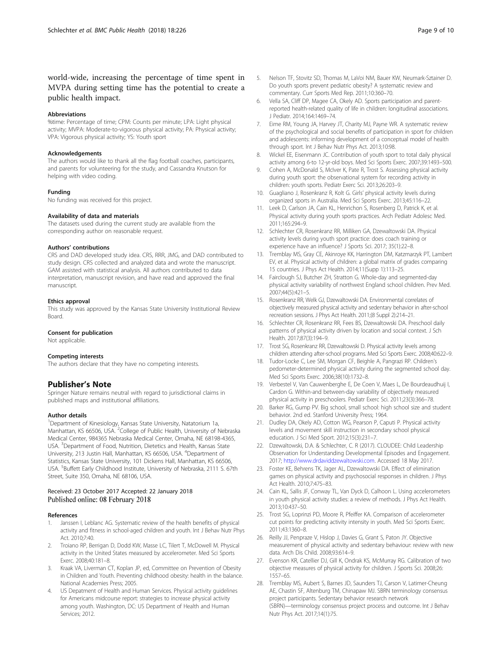#### <span id="page-8-0"></span>world-wide, increasing the percentage of time spent in MVPA during setting time has the potential to create a public health impact.

#### Abbreviations

%time: Percentage of time; CPM: Counts per minute; LPA: Light physical activity; MVPA: Moderate-to-vigorous physical activity; PA: Physical activity; VPA: Vigorous physical activity; YS: Youth sport

#### Acknowledgements

The authors would like to thank all the flag football coaches, participants, and parents for volunteering for the study, and Cassandra Knutson for helping with video coding.

#### Funding

No funding was received for this project.

#### Availability of data and materials

The datasets used during the current study are available from the corresponding author on reasonable request.

#### Authors' contributions

CRS and DAD developed study idea. CRS, RRR, JMG, and DAD contributed to study design. CRS collected and analyzed data and wrote the manuscript. GAM assisted with statistical analysis. All authors contributed to data interpretation, manuscript revision, and have read and approved the final manuscript.

#### Ethics approval

This study was approved by the Kansas State University Institutional Review Board.

#### Consent for publication

Not applicable.

#### Competing interests

The authors declare that they have no competing interests.

#### Publisher's Note

Springer Nature remains neutral with regard to jurisdictional claims in published maps and institutional affiliations.

#### Author details

<sup>1</sup>Department of Kinesiology, Kansas State University, Natatorium 1a, Manhattan, KS 66506, USA. <sup>2</sup>College of Public Health, University of Nebraska Medical Center, 984365 Nebraska Medical Center, Omaha, NE 68198-4365, USA. <sup>3</sup>Department of Food, Nutrition, Dietetics and Health, Kansas State University, 213 Justin Hall, Manhattan, KS 66506, USA. <sup>4</sup>Department of Statistics, Kansas State University, 101 Dickens Hall, Manhattan, KS 66506, USA. <sup>5</sup>Buffett Early Childhood Institute, University of Nebraska, 2111 S. 67th Street, Suite 350, Omaha, NE 68106, USA.

#### Received: 23 October 2017 Accepted: 22 January 2018 Published online: 08 February 2018

#### References

- Janssen I, Leblanc AG. Systematic review of the health benefits of physical activity and fitness in school-aged children and youth. Int J Behav Nutr Phys Act. 2010;7:40.
- 2. Troiano RP, Berrigan D, Dodd KW, Masse LC, Tilert T, McDowell M. Physical activity in the United States measured by accelerometer. Med Sci Sports Exerc. 2008;40:181–8.
- 3. Kraak VA, Liverman CT, Koplan JP, ed, Committee on Prevention of Obesity in Children and Youth. Preventing childhood obesity: health in the balance. National Academies Press; 2005.
- 4. US Depatment of Health and Human Services. Physical activity guidelines for Americans midcourse report: strategies to increase physical activity among youth. Washington, DC: US Department of Health and Human Services; 2012.
- 5. Nelson TF, Stovitz SD, Thomas M, LaVoi NM, Bauer KW, Neumark-Sztainer D. Do youth sports prevent pediatric obesity? A systematic review and commentary. Curr Sports Med Rep. 2011;10:360–70.
- 6. Vella SA, Cliff DP, Magee CA, Okely AD. Sports participation and parentreported health-related quality of life in children: longitudinal associations. J Pediatr. 2014;164:1469–74.
- 7. Eime RM, Young JA, Harvey JT, Charity MJ, Payne WR. A systematic review of the psychological and social benefits of participation in sport for children and adolescents: informing development of a conceptual model of health through sport. Int J Behav Nutr Phys Act. 2013;10:98.
- 8. Wickel EE, Eisenmann JC. Contribution of youth sport to total daily physical activity among 6-to 12-yr-old boys. Med Sci Sports Exerc. 2007;39:1493–500.
- 9. Cohen A, McDonald S, McIver K, Pate R, Trost S. Assessing physical activity during youth sport: the observational system for recording activity in children: youth sports. Pediatr Exerc Sci. 2013;26:203–9.
- 10. Guagliano J, Rosenkranz R, Kolt G. Girls' physical activity levels during organized sports in Australia. Med Sci Sports Exerc. 2013;45:116–22.
- 11. Leek D, Carlson JA, Cain KL, Henrichon S, Rosenberg D, Patrick K, et al. Physical activity during youth sports practices. Arch Pediatr Adolesc Med. 2011;165:294–9.
- 12. Schlechter CR, Rosenkranz RR, Milliken GA, Dzewaltowski DA. Physical activity levels during youth sport practice: does coach training or experience have an influence? J Sports Sci. 2017; 35(1):22–8.
- 13. Tremblay MS, Gray CE, Akinroye KK, Harrington DM, Katzmarzyk PT, Lambert EV, et al. Physical activity of children: a global matrix of grades comparing 15 countries. J Phys Act Health. 2014;11(Supp 1):113–25.
- 14. Fairclough SJ, Butcher ZH, Stratton G. Whole-day and segmented-day physical activity variability of northwest England school children. Prev Med. 2007;44(5):421–5.
- 15. Rosenkranz RR, Welk GJ, Dzewaltowski DA. Environmental correlates of objectively measured physical activity and sedentary behavior in after-school recreation sessions. J Phys Act Health. 2011;(8 Suppl 2):214–21.
- 16. Schlechter CR, Rosenkranz RR, Fees BS, Dzewaltowski DA. Preschool daily patterns of physical activity driven by location and social context. J Sch Health. 2017;87(3):194–9.
- 17. Trost SG, Rosenkranz RR, Dzewaltowski D. Physical activity levels among children attending after-school programs. Med Sci Sports Exerc. 2008;40:622–9.
- 18. Tudor-Locke C, Lee SM, Morgan CF, Beighle A, Pangrazi RP. Children's pedometer-determined physical activity during the segmented school day. Med Sci Sports Exerc. 2006;38(10):1732–8.
- 19. Verbestel V, Van Cauwenberghe E, De Coen V, Maes L, De Bourdeaudhuij I, Cardon G. Within-and between-day variability of objectively measured physical activity in preschoolers. Pediatr Exerc Sci. 2011;23(3):366–78.
- 20. Barker RG, Gump PV. Big school, small school: high school size and student behavior. 2nd ed. Stanford University Press; 1964.
- 21. Dudley DA, Okely AD, Cotton WG, Pearson P, Caputi P. Physical activity levels and movement skill instruction in secondary school physical education. J Sci Med Sport. 2012;15(3):231–7.
- 22. Dzewaltowski, D.A. & Schlechter, C. R (2017). CLOUDEE: Child Leadership Observation for Understanding Developmental Episodes and Engagement. 2017; [http://www.drdaviddzewaltowski.com.](http://www.drdaviddzewaltowski.com) Accessed 18 May 2017.
- 23. Foster KE, Behrens TK, Jager AL, Dzewaltowski DA. Effect of elimination games on physical activity and psychosocial responses in children. J Phys Act Health. 2010;7:475–83.
- 24. Cain KL, Sallis JF, Conway TL, Van Dyck D, Calhoon L. Using accelerometers in youth physical activity studies: a review of methods. J Phys Act Health. 2013;10:437–50.
- 25. Trost SG, Loprinzi PD, Moore R, Pfeiffer KA. Comparison of accelerometer cut points for predicting activity intensity in youth. Med Sci Sports Exerc. 2011;43:1360–8.
- 26. Reilly JJ, Penpraze V, Hislop J, Davies G, Grant S, Paton JY. Objective measurement of physical activity and sedentary behaviour: review with new data. Arch Dis Child. 2008;93:614–9.
- 27. Evenson KR, Catellier DJ, Gill K, Ondrak KS, McMurray RG. Calibration of two objective measures of physical activity for children. J Sports Sci. 2008;26: 1557–65.
- 28. Tremblay MS, Aubert S, Barnes JD, Saunders TJ, Carson V, Latimer-Cheung AE, Chastin SF, Altenburg TM, Chinapaw MJ. SBRN terminology consensus project participants. Sedentary behavior research network (SBRN)—terminology consensus project process and outcome. Int J Behav Nutr Phys Act. 2017;14(1):75.